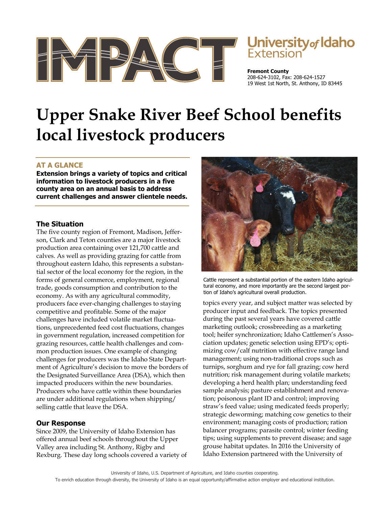

# University of Idaho

**Fremont County**  208-624-3102, Fax: 208-624-1527 19 West 1st North, St. Anthony, ID 83445

# **Upper Snake River Beef School benefits local livestock producers**

## **AT A GLANCE**

**Extension brings a variety of topics and critical information to livestock producers in a five county area on an annual basis to address current challenges and answer clientele needs.** 

### **The Situation**

The five county region of Fremont, Madison, Jefferson, Clark and Teton counties are a major livestock production area containing over 121,700 cattle and calves. As well as providing grazing for cattle from throughout eastern Idaho, this represents a substantial sector of the local economy for the region, in the forms of general commerce, employment, regional trade, goods consumption and contribution to the economy. As with any agricultural commodity, producers face ever-changing challenges to staying competitive and profitable. Some of the major challenges have included volatile market fluctuations, unprecedented feed cost fluctuations, changes in government regulation, increased competition for grazing resources, cattle health challenges and common production issues. One example of changing challenges for producers was the Idaho State Department of Agriculture's decision to move the borders of the Designated Surveillance Area (DSA), which then impacted producers within the new boundaries. Producers who have cattle within these boundaries are under additional regulations when shipping/ selling cattle that leave the DSA.

### **Our Response**

Since 2009, the University of Idaho Extension has offered annual beef schools throughout the Upper Valley area including St. Anthony, Rigby and Rexburg. These day long schools covered a variety of



Cattle represent a substantial portion of the eastern Idaho agricultural economy, and more importantly are the second largest portion of Idaho's agricultural overall production.

topics every year, and subject matter was selected by producer input and feedback. The topics presented during the past several years have covered cattle marketing outlook; crossbreeding as a marketing tool; heifer synchronization; Idaho Cattlemen's Association updates; genetic selection using EPD's; optimizing cow/calf nutrition with effective range land management; using non-traditional crops such as turnips, sorghum and rye for fall grazing; cow herd nutrition; risk management during volatile markets; developing a herd health plan; understanding feed sample analysis; pasture establishment and renovation; poisonous plant ID and control; improving straw's feed value; using medicated feeds properly; strategic deworming; matching cow genetics to their environment; managing costs of production; ration balancer programs; parasite control; winter feeding tips; using supplements to prevent disease; and sage grouse habitat updates. In 2016 the University of Idaho Extension partnered with the University of